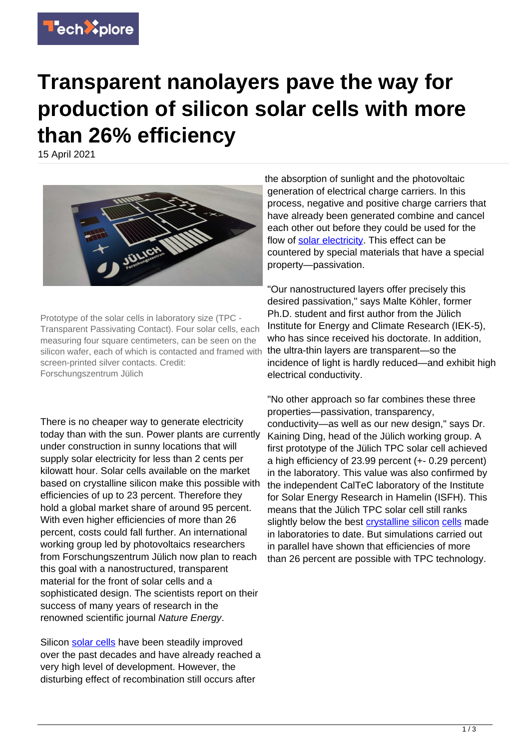

## **Transparent nanolayers pave the way for production of silicon solar cells with more than 26% efficiency**

15 April 2021



Prototype of the solar cells in laboratory size (TPC - Transparent Passivating Contact). Four solar cells, each measuring four square centimeters, can be seen on the silicon wafer, each of which is contacted and framed with screen-printed silver contacts. Credit: Forschungszentrum Jülich

There is no cheaper way to generate electricity today than with the sun. Power plants are currently under construction in sunny locations that will supply solar electricity for less than 2 cents per kilowatt hour. Solar cells available on the market based on crystalline silicon make this possible with efficiencies of up to 23 percent. Therefore they hold a global market share of around 95 percent. With even higher efficiencies of more than 26 percent, costs could fall further. An international working group led by photovoltaics researchers from Forschungszentrum Jülich now plan to reach this goal with a nanostructured, transparent material for the front of solar cells and a sophisticated design. The scientists report on their success of many years of research in the renowned scientific journal Nature Energy.

Silicon [solar cells](https://techxplore.com/tags/solar+cells/) have been steadily improved over the past decades and have already reached a very high level of development. However, the disturbing effect of recombination still occurs after

the absorption of sunlight and the photovoltaic generation of electrical charge carriers. In this process, negative and positive charge carriers that have already been generated combine and cancel each other out before they could be used for the flow of [solar electricity](https://techxplore.com/tags/solar+electricity/). This effect can be countered by special materials that have a special property—passivation.

"Our nanostructured layers offer precisely this desired passivation," says Malte Köhler, former Ph.D. student and first author from the Jülich Institute for Energy and Climate Research (IEK-5), who has since received his doctorate. In addition, the ultra-thin layers are transparent—so the incidence of light is hardly reduced—and exhibit high electrical conductivity.

"No other approach so far combines these three properties—passivation, transparency, conductivity—as well as our new design," says Dr. Kaining Ding, head of the Jülich working group. A first prototype of the Jülich TPC solar cell achieved a high efficiency of 23.99 percent (+- 0.29 percent) in the laboratory. This value was also confirmed by the independent CalTeC laboratory of the Institute for Solar Energy Research in Hamelin (ISFH). This means that the Jülich TPC solar cell still ranks slightly below the best [crystalline silicon](https://techxplore.com/tags/crystalline+silicon/) [cells](https://techxplore.com/tags/cells/) made in laboratories to date. But simulations carried out in parallel have shown that efficiencies of more than 26 percent are possible with TPC technology.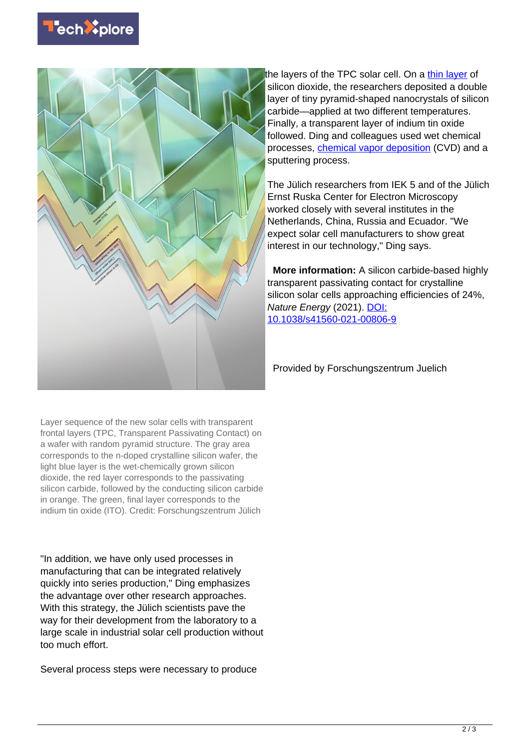



the layers of the TPC solar cell. On a [thin layer](https://techxplore.com/tags/thin+layer/) of silicon dioxide, the researchers deposited a double layer of tiny pyramid-shaped nanocrystals of silicon carbide—applied at two different temperatures. Finally, a transparent layer of indium tin oxide followed. Ding and colleagues used wet chemical processes, [chemical vapor deposition](https://techxplore.com/tags/chemical+vapor+deposition/) (CVD) and a sputtering process.

The Jülich researchers from IEK 5 and of the Jülich Ernst Ruska Center for Electron Microscopy worked closely with several institutes in the Netherlands, China, Russia and Ecuador. "We expect solar cell manufacturers to show great interest in our technology," Ding says.

 **More information:** A silicon carbide-based highly transparent passivating contact for crystalline silicon solar cells approaching efficiencies of 24%, Nature Energy (2021). [DOI:](http://dx.doi.org/10.1038/s41560-021-00806-9) [10.1038/s41560-021-00806-9](http://dx.doi.org/10.1038/s41560-021-00806-9)

Provided by Forschungszentrum Juelich

Layer sequence of the new solar cells with transparent frontal layers (TPC, Transparent Passivating Contact) on a wafer with random pyramid structure. The gray area corresponds to the n-doped crystalline silicon wafer, the light blue layer is the wet-chemically grown silicon dioxide, the red layer corresponds to the passivating silicon carbide, followed by the conducting silicon carbide in orange. The green, final layer corresponds to the indium tin oxide (ITO). Credit: Forschungszentrum Jülich

"In addition, we have only used processes in manufacturing that can be integrated relatively quickly into series production," Ding emphasizes the advantage over other research approaches. With this strategy, the Jülich scientists pave the way for their development from the laboratory to a large scale in industrial solar cell production without too much effort.

Several process steps were necessary to produce